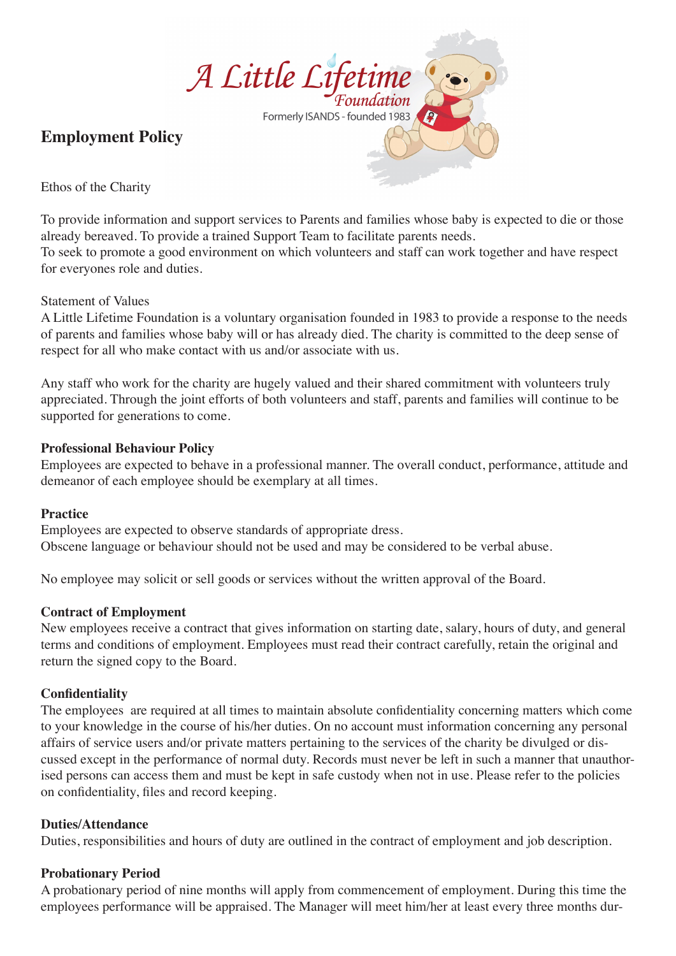

# **Employment Policy**

Ethos of the Charity

To provide information and support services to Parents and families whose baby is expected to die or those already bereaved. To provide a trained Support Team to facilitate parents needs.

To seek to promote a good environment on which volunteers and staff can work together and have respect for everyones role and duties.

# Statement of Values

A Little Lifetime Foundation is a voluntary organisation founded in 1983 to provide a response to the needs of parents and families whose baby will or has already died. The charity is committed to the deep sense of respect for all who make contact with us and/or associate with us.

Any staff who work for the charity are hugely valued and their shared commitment with volunteers truly appreciated. Through the joint efforts of both volunteers and staff, parents and families will continue to be supported for generations to come.

# **Professional Behaviour Policy**

Employees are expected to behave in a professional manner. The overall conduct, performance, attitude and demeanor of each employee should be exemplary at all times.

# **Practice**

Employees are expected to observe standards of appropriate dress. Obscene language or behaviour should not be used and may be considered to be verbal abuse.

No employee may solicit or sell goods or services without the written approval of the Board.

# **Contract of Employment**

New employees receive a contract that gives information on starting date, salary, hours of duty, and general terms and conditions of employment. Employees must read their contract carefully, retain the original and return the signed copy to the Board.

# **Confidentiality**

The employees are required at all times to maintain absolute confidentiality concerning matters which come to your knowledge in the course of his/her duties. On no account must information concerning any personal affairs of service users and/or private matters pertaining to the services of the charity be divulged or discussed except in the performance of normal duty. Records must never be left in such a manner that unauthorised persons can access them and must be kept in safe custody when not in use. Please refer to the policies on confidentiality, files and record keeping.

# **Duties/Attendance**

Duties, responsibilities and hours of duty are outlined in the contract of employment and job description.

# **Probationary Period**

A probationary period of nine months will apply from commencement of employment. During this time the employees performance will be appraised. The Manager will meet him/her at least every three months dur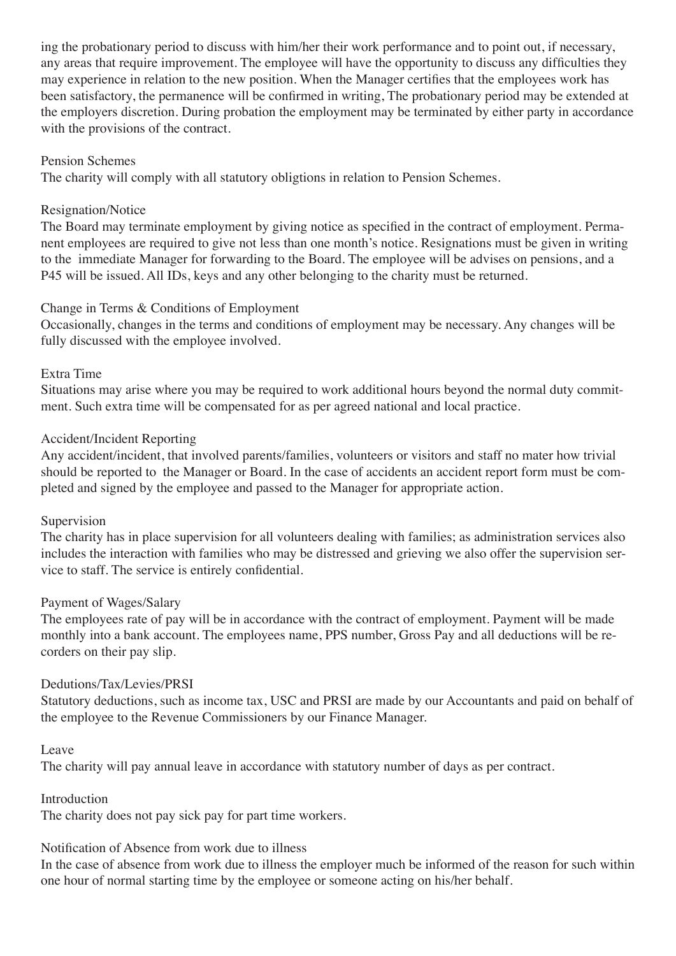ing the probationary period to discuss with him/her their work performance and to point out, if necessary, any areas that require improvement. The employee will have the opportunity to discuss any difficulties they may experience in relation to the new position. When the Manager certifies that the employees work has been satisfactory, the permanence will be confirmed in writing, The probationary period may be extended at the employers discretion. During probation the employment may be terminated by either party in accordance with the provisions of the contract.

#### Pension Schemes

The charity will comply with all statutory obligtions in relation to Pension Schemes.

#### Resignation/Notice

The Board may terminate employment by giving notice as specified in the contract of employment. Permanent employees are required to give not less than one month's notice. Resignations must be given in writing to the immediate Manager for forwarding to the Board. The employee will be advises on pensions, and a P45 will be issued. All IDs, keys and any other belonging to the charity must be returned.

#### Change in Terms & Conditions of Employment

Occasionally, changes in the terms and conditions of employment may be necessary. Any changes will be fully discussed with the employee involved.

#### Extra Time

Situations may arise where you may be required to work additional hours beyond the normal duty commitment. Such extra time will be compensated for as per agreed national and local practice.

#### Accident/Incident Reporting

Any accident/incident, that involved parents/families, volunteers or visitors and staff no mater how trivial should be reported to the Manager or Board. In the case of accidents an accident report form must be completed and signed by the employee and passed to the Manager for appropriate action.

#### Supervision

The charity has in place supervision for all volunteers dealing with families; as administration services also includes the interaction with families who may be distressed and grieving we also offer the supervision service to staff. The service is entirely confidential.

#### Payment of Wages/Salary

The employees rate of pay will be in accordance with the contract of employment. Payment will be made monthly into a bank account. The employees name, PPS number, Gross Pay and all deductions will be recorders on their pay slip.

#### Dedutions/Tax/Levies/PRSI

Statutory deductions, such as income tax, USC and PRSI are made by our Accountants and paid on behalf of the employee to the Revenue Commissioners by our Finance Manager.

#### Leave

The charity will pay annual leave in accordance with statutory number of days as per contract.

Introduction

The charity does not pay sick pay for part time workers.

#### Notification of Absence from work due to illness

In the case of absence from work due to illness the employer much be informed of the reason for such within one hour of normal starting time by the employee or someone acting on his/her behalf.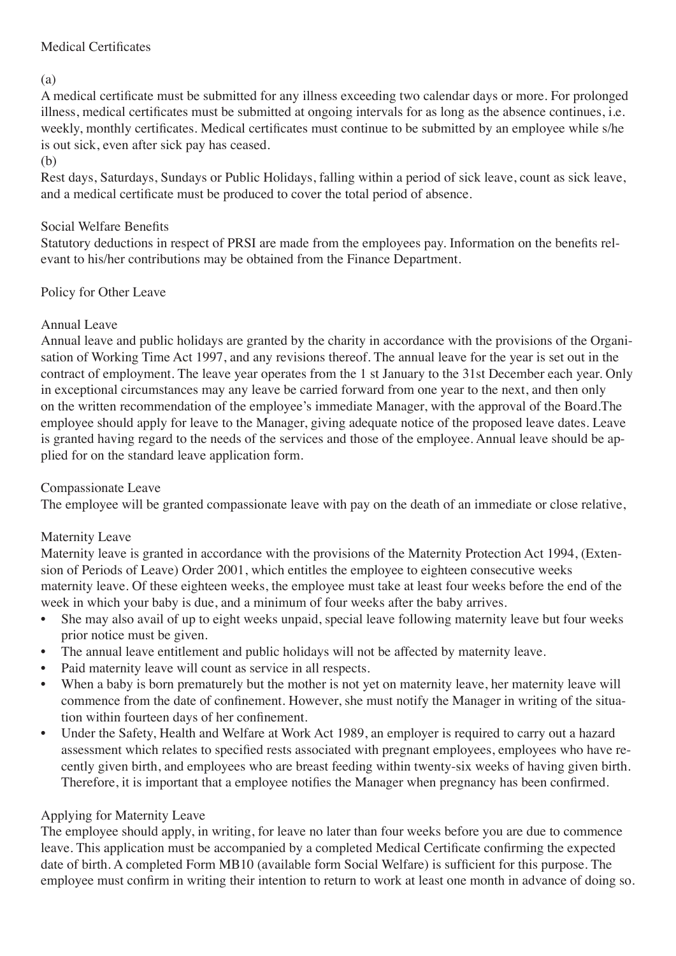# Medical Certificates

(a)

A medical certificate must be submitted for any illness exceeding two calendar days or more. For prolonged illness, medical certificates must be submitted at ongoing intervals for as long as the absence continues, i.e. weekly, monthly certificates. Medical certificates must continue to be submitted by an employee while s/he is out sick, even after sick pay has ceased.

(b)

Rest days, Saturdays, Sundays or Public Holidays, falling within a period of sick leave, count as sick leave, and a medical certificate must be produced to cover the total period of absence.

# Social Welfare Benefits

Statutory deductions in respect of PRSI are made from the employees pay. Information on the benefits relevant to his/her contributions may be obtained from the Finance Department.

# Policy for Other Leave

# Annual Leave

Annual leave and public holidays are granted by the charity in accordance with the provisions of the Organisation of Working Time Act 1997, and any revisions thereof. The annual leave for the year is set out in the contract of employment. The leave year operates from the 1 st January to the 31st December each year. Only in exceptional circumstances may any leave be carried forward from one year to the next, and then only on the written recommendation of the employee's immediate Manager, with the approval of the Board.The employee should apply for leave to the Manager, giving adequate notice of the proposed leave dates. Leave is granted having regard to the needs of the services and those of the employee. Annual leave should be applied for on the standard leave application form.

# Compassionate Leave

The employee will be granted compassionate leave with pay on the death of an immediate or close relative,

# Maternity Leave

Maternity leave is granted in accordance with the provisions of the Maternity Protection Act 1994, (Extension of Periods of Leave) Order 2001, which entitles the employee to eighteen consecutive weeks maternity leave. Of these eighteen weeks, the employee must take at least four weeks before the end of the week in which your baby is due, and a minimum of four weeks after the baby arrives.

- She may also avail of up to eight weeks unpaid, special leave following maternity leave but four weeks prior notice must be given.
- The annual leave entitlement and public holidays will not be affected by maternity leave.
- Paid maternity leave will count as service in all respects.
- When a baby is born prematurely but the mother is not yet on maternity leave, her maternity leave will commence from the date of confinement. However, she must notify the Manager in writing of the situation within fourteen days of her confinement.
- Under the Safety, Health and Welfare at Work Act 1989, an employer is required to carry out a hazard assessment which relates to specified rests associated with pregnant employees, employees who have recently given birth, and employees who are breast feeding within twenty-six weeks of having given birth. Therefore, it is important that a employee notifies the Manager when pregnancy has been confirmed.

# Applying for Maternity Leave

The employee should apply, in writing, for leave no later than four weeks before you are due to commence leave. This application must be accompanied by a completed Medical Certificate confirming the expected date of birth. A completed Form MB10 (available form Social Welfare) is sufficient for this purpose. The employee must confirm in writing their intention to return to work at least one month in advance of doing so.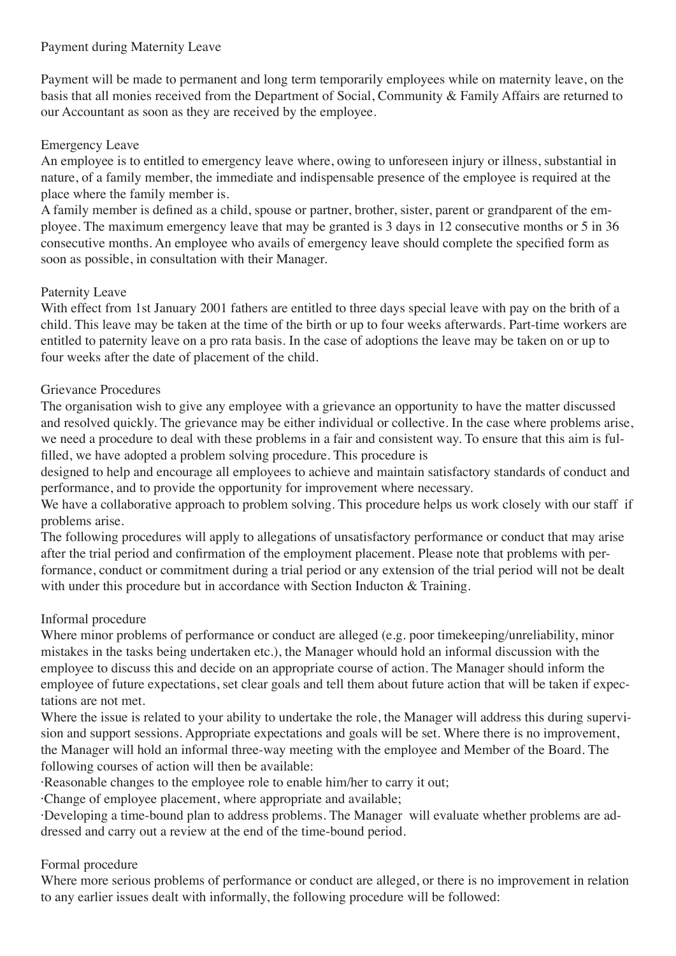# Payment during Maternity Leave

Payment will be made to permanent and long term temporarily employees while on maternity leave, on the basis that all monies received from the Department of Social, Community & Family Affairs are returned to our Accountant as soon as they are received by the employee.

# Emergency Leave

An employee is to entitled to emergency leave where, owing to unforeseen injury or illness, substantial in nature, of a family member, the immediate and indispensable presence of the employee is required at the place where the family member is.

A family member is defined as a child, spouse or partner, brother, sister, parent or grandparent of the employee. The maximum emergency leave that may be granted is 3 days in 12 consecutive months or 5 in 36 consecutive months. An employee who avails of emergency leave should complete the specified form as soon as possible, in consultation with their Manager.

# Paternity Leave

With effect from 1st January 2001 fathers are entitled to three days special leave with pay on the brith of a child. This leave may be taken at the time of the birth or up to four weeks afterwards. Part-time workers are entitled to paternity leave on a pro rata basis. In the case of adoptions the leave may be taken on or up to four weeks after the date of placement of the child.

# Grievance Procedures

The organisation wish to give any employee with a grievance an opportunity to have the matter discussed and resolved quickly. The grievance may be either individual or collective. In the case where problems arise, we need a procedure to deal with these problems in a fair and consistent way. To ensure that this aim is fulfilled, we have adopted a problem solving procedure. This procedure is

designed to help and encourage all employees to achieve and maintain satisfactory standards of conduct and performance, and to provide the opportunity for improvement where necessary.

We have a collaborative approach to problem solving. This procedure helps us work closely with our staff if problems arise.

The following procedures will apply to allegations of unsatisfactory performance or conduct that may arise after the trial period and confirmation of the employment placement. Please note that problems with performance, conduct or commitment during a trial period or any extension of the trial period will not be dealt with under this procedure but in accordance with Section Inducton & Training.

# Informal procedure

Where minor problems of performance or conduct are alleged (e.g. poor timekeeping/unreliability, minor mistakes in the tasks being undertaken etc.), the Manager whould hold an informal discussion with the employee to discuss this and decide on an appropriate course of action. The Manager should inform the employee of future expectations, set clear goals and tell them about future action that will be taken if expectations are not met.

Where the issue is related to your ability to undertake the role, the Manager will address this during supervision and support sessions. Appropriate expectations and goals will be set. Where there is no improvement, the Manager will hold an informal three-way meeting with the employee and Member of the Board. The following courses of action will then be available:

·Reasonable changes to the employee role to enable him/her to carry it out;

·Change of employee placement, where appropriate and available;

·Developing a time-bound plan to address problems. The Manager will evaluate whether problems are addressed and carry out a review at the end of the time-bound period.

# Formal procedure

Where more serious problems of performance or conduct are alleged, or there is no improvement in relation to any earlier issues dealt with informally, the following procedure will be followed: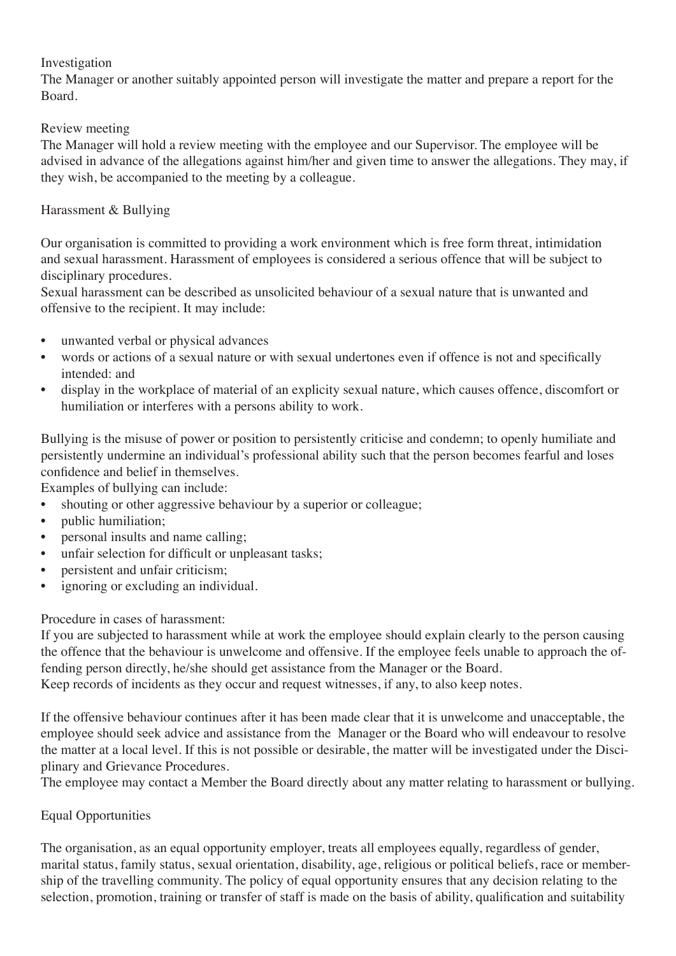# Investigation

The Manager or another suitably appointed person will investigate the matter and prepare a report for the Board.

# Review meeting

The Manager will hold a review meeting with the employee and our Supervisor. The employee will be advised in advance of the allegations against him/her and given time to answer the allegations. They may, if they wish, be accompanied to the meeting by a colleague.

# Harassment & Bullying

Our organisation is committed to providing a work environment which is free form threat, intimidation and sexual harassment. Harassment of employees is considered a serious offence that will be subject to disciplinary procedures.

Sexual harassment can be described as unsolicited behaviour of a sexual nature that is unwanted and offensive to the recipient. It may include:

- unwanted verbal or physical advances
- words or actions of a sexual nature or with sexual undertones even if offence is not and specifically intended: and
- display in the workplace of material of an explicity sexual nature, which causes offence, discomfort or humiliation or interferes with a persons ability to work.

Bullying is the misuse of power or position to persistently criticise and condemn; to openly humiliate and persistently undermine an individual's professional ability such that the person becomes fearful and loses confidence and belief in themselves.

Examples of bullying can include:

- shouting or other aggressive behaviour by a superior or colleague;
- public humiliation;
- personal insults and name calling;
- unfair selection for difficult or unpleasant tasks;
- persistent and unfair criticism;
- ignoring or excluding an individual.

# Procedure in cases of harassment:

If you are subjected to harassment while at work the employee should explain clearly to the person causing the offence that the behaviour is unwelcome and offensive. If the employee feels unable to approach the offending person directly, he/she should get assistance from the Manager or the Board.

Keep records of incidents as they occur and request witnesses, if any, to also keep notes.

If the offensive behaviour continues after it has been made clear that it is unwelcome and unacceptable, the employee should seek advice and assistance from the Manager or the Board who will endeavour to resolve the matter at a local level. If this is not possible or desirable, the matter will be investigated under the Disciplinary and Grievance Procedures.

The employee may contact a Member the Board directly about any matter relating to harassment or bullying.

# Equal Opportunities

The organisation, as an equal opportunity employer, treats all employees equally, regardless of gender, marital status, family status, sexual orientation, disability, age, religious or political beliefs, race or membership of the travelling community. The policy of equal opportunity ensures that any decision relating to the selection, promotion, training or transfer of staff is made on the basis of ability, qualification and suitability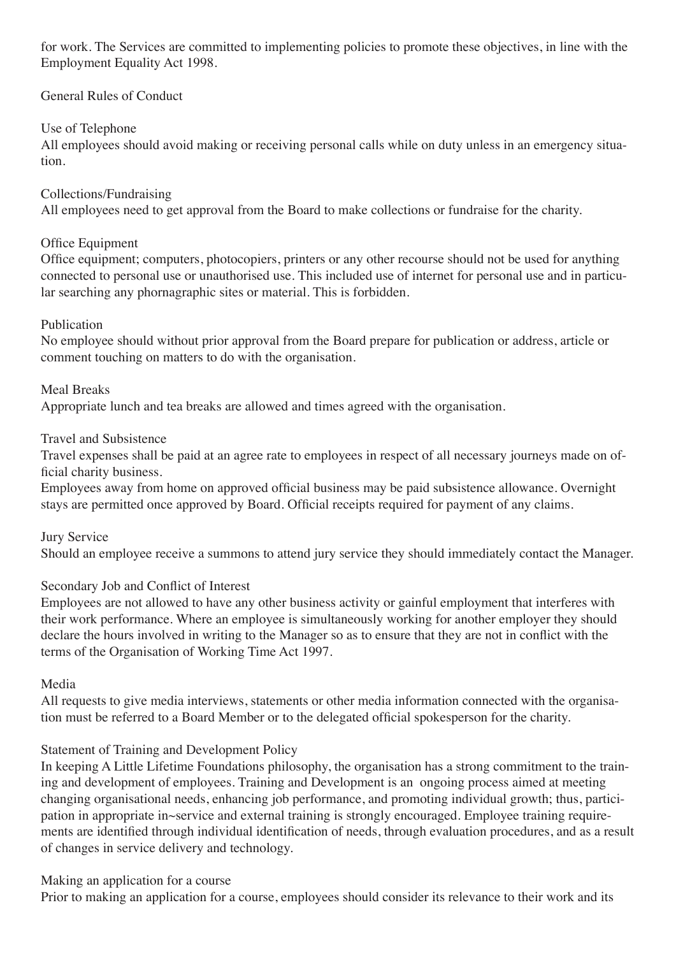for work. The Services are committed to implementing policies to promote these objectives, in line with the Employment Equality Act 1998.

# General Rules of Conduct

# Use of Telephone

All employees should avoid making or receiving personal calls while on duty unless in an emergency situation.

# Collections/Fundraising

All employees need to get approval from the Board to make collections or fundraise for the charity.

# Office Equipment

Office equipment; computers, photocopiers, printers or any other recourse should not be used for anything connected to personal use or unauthorised use. This included use of internet for personal use and in particular searching any phornagraphic sites or material. This is forbidden.

# Publication

No employee should without prior approval from the Board prepare for publication or address, article or comment touching on matters to do with the organisation.

# Meal Breaks

Appropriate lunch and tea breaks are allowed and times agreed with the organisation.

# Travel and Subsistence

Travel expenses shall be paid at an agree rate to employees in respect of all necessary journeys made on official charity business.

Employees away from home on approved official business may be paid subsistence allowance. Overnight stays are permitted once approved by Board. Official receipts required for payment of any claims.

# Jury Service

Should an employee receive a summons to attend jury service they should immediately contact the Manager.

# Secondary Job and Conflict of Interest

Employees are not allowed to have any other business activity or gainful employment that interferes with their work performance. Where an employee is simultaneously working for another employer they should declare the hours involved in writing to the Manager so as to ensure that they are not in conflict with the terms of the Organisation of Working Time Act 1997.

# Media

All requests to give media interviews, statements or other media information connected with the organisation must be referred to a Board Member or to the delegated official spokesperson for the charity.

# Statement of Training and Development Policy

In keeping A Little Lifetime Foundations philosophy, the organisation has a strong commitment to the training and development of employees. Training and Development is an ongoing process aimed at meeting changing organisational needs, enhancing job performance, and promoting individual growth; thus, participation in appropriate in~service and external training is strongly encouraged. Employee training requirements are identified through individual identification of needs, through evaluation procedures, and as a result of changes in service delivery and technology.

# Making an application for a course

Prior to making an application for a course, employees should consider its relevance to their work and its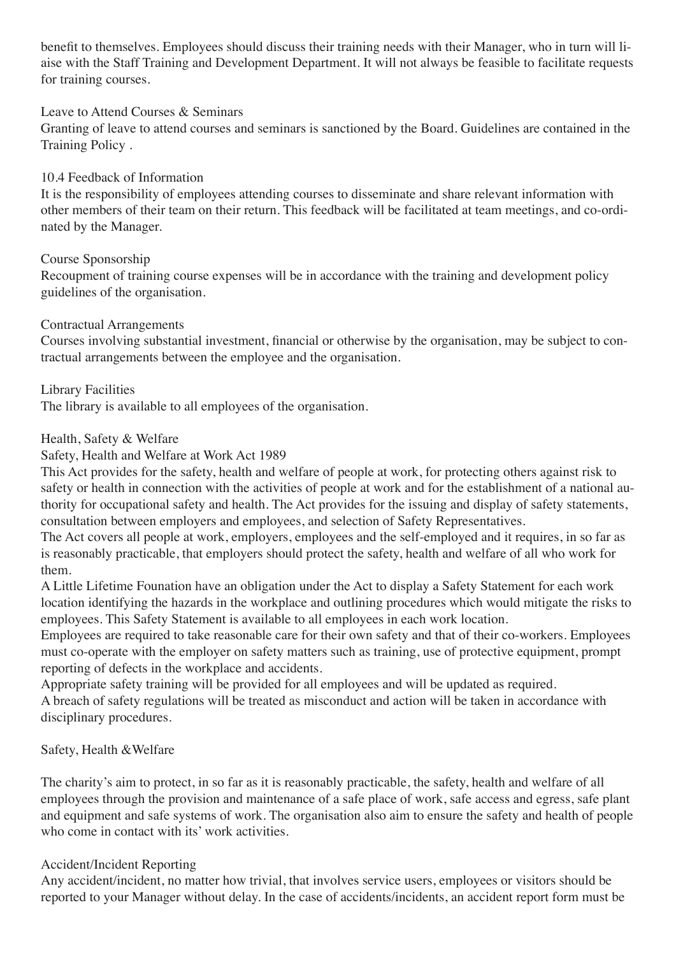benefit to themselves. Employees should discuss their training needs with their Manager, who in turn will liaise with the Staff Training and Development Department. It will not always be feasible to facilitate requests for training courses.

# Leave to Attend Courses & Seminars

Granting of leave to attend courses and seminars is sanctioned by the Board. Guidelines are contained in the Training Policy .

# 10.4 Feedback of Information

It is the responsibility of employees attending courses to disseminate and share relevant information with other members of their team on their return. This feedback will be facilitated at team meetings, and co-ordinated by the Manager.

# Course Sponsorship

Recoupment of training course expenses will be in accordance with the training and development policy guidelines of the organisation.

# Contractual Arrangements

Courses involving substantial investment, financial or otherwise by the organisation, may be subject to contractual arrangements between the employee and the organisation.

Library Facilities

The library is available to all employees of the organisation.

# Health, Safety & Welfare

# Safety, Health and Welfare at Work Act 1989

This Act provides for the safety, health and welfare of people at work, for protecting others against risk to safety or health in connection with the activities of people at work and for the establishment of a national authority for occupational safety and health. The Act provides for the issuing and display of safety statements, consultation between employers and employees, and selection of Safety Representatives.

The Act covers all people at work, employers, employees and the self-employed and it requires, in so far as is reasonably practicable, that employers should protect the safety, health and welfare of all who work for them.

A Little Lifetime Founation have an obligation under the Act to display a Safety Statement for each work location identifying the hazards in the workplace and outlining procedures which would mitigate the risks to employees. This Safety Statement is available to all employees in each work location.

Employees are required to take reasonable care for their own safety and that of their co-workers. Employees must co-operate with the employer on safety matters such as training, use of protective equipment, prompt reporting of defects in the workplace and accidents.

Appropriate safety training will be provided for all employees and will be updated as required. A breach of safety regulations will be treated as misconduct and action will be taken in accordance with disciplinary procedures.

# Safety, Health &Welfare

The charity's aim to protect, in so far as it is reasonably practicable, the safety, health and welfare of all employees through the provision and maintenance of a safe place of work, safe access and egress, safe plant and equipment and safe systems of work. The organisation also aim to ensure the safety and health of people who come in contact with its' work activities.

# Accident/Incident Reporting

Any accident/incident, no matter how trivial, that involves service users, employees or visitors should be reported to your Manager without delay. In the case of accidents/incidents, an accident report form must be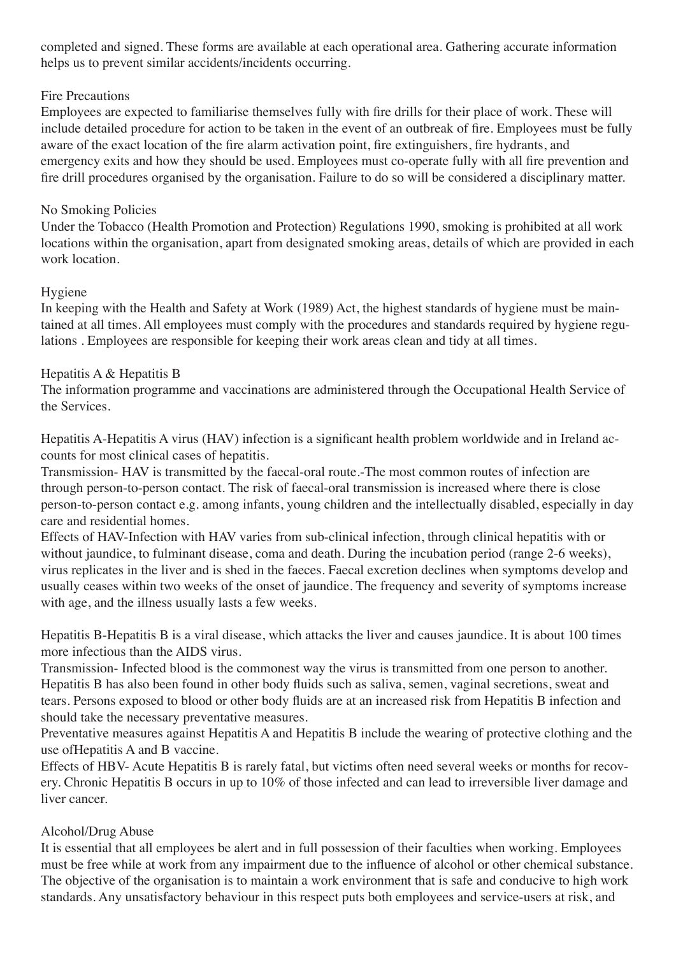completed and signed. These forms are available at each operational area. Gathering accurate information helps us to prevent similar accidents/incidents occurring.

# Fire Precautions

Employees are expected to familiarise themselves fully with fire drills for their place of work. These will include detailed procedure for action to be taken in the event of an outbreak of fire. Employees must be fully aware of the exact location of the fire alarm activation point, fire extinguishers, fire hydrants, and emergency exits and how they should be used. Employees must co-operate fully with all fire prevention and fire drill procedures organised by the organisation. Failure to do so will be considered a disciplinary matter.

# No Smoking Policies

Under the Tobacco (Health Promotion and Protection) Regulations 1990, smoking is prohibited at all work locations within the organisation, apart from designated smoking areas, details of which are provided in each work location.

# Hygiene

In keeping with the Health and Safety at Work (1989) Act, the highest standards of hygiene must be maintained at all times. All employees must comply with the procedures and standards required by hygiene regulations . Employees are responsible for keeping their work areas clean and tidy at all times.

# Hepatitis A & Hepatitis B

The information programme and vaccinations are administered through the Occupational Health Service of the Services.

Hepatitis A-Hepatitis A virus (HAV) infection is a significant health problem worldwide and in Ireland accounts for most clinical cases of hepatitis.

Transmission- HAV is transmitted by the faecal-oral route.-The most common routes of infection are through person-to-person contact. The risk of faecal-oral transmission is increased where there is close person-to-person contact e.g. among infants, young children and the intellectually disabled, especially in day care and residential homes.

Effects of HAV-Infection with HAV varies from sub-clinical infection, through clinical hepatitis with or without jaundice, to fulminant disease, coma and death. During the incubation period (range 2-6 weeks), virus replicates in the liver and is shed in the faeces. Faecal excretion declines when symptoms develop and usually ceases within two weeks of the onset of jaundice. The frequency and severity of symptoms increase with age, and the illness usually lasts a few weeks.

Hepatitis B-Hepatitis B is a viral disease, which attacks the liver and causes jaundice. It is about 100 times more infectious than the AIDS virus.

Transmission- Infected blood is the commonest way the virus is transmitted from one person to another. Hepatitis B has also been found in other body fluids such as saliva, semen, vaginal secretions, sweat and tears. Persons exposed to blood or other body fluids are at an increased risk from Hepatitis B infection and should take the necessary preventative measures.

Preventative measures against Hepatitis A and Hepatitis B include the wearing of protective clothing and the use ofHepatitis A and B vaccine.

Effects of HBV- Acute Hepatitis B is rarely fatal, but victims often need several weeks or months for recovery. Chronic Hepatitis B occurs in up to 10% of those infected and can lead to irreversible liver damage and liver cancer.

# Alcohol/Drug Abuse

It is essential that all employees be alert and in full possession of their faculties when working. Employees must be free while at work from any impairment due to the influence of alcohol or other chemical substance. The objective of the organisation is to maintain a work environment that is safe and conducive to high work standards. Any unsatisfactory behaviour in this respect puts both employees and service-users at risk, and